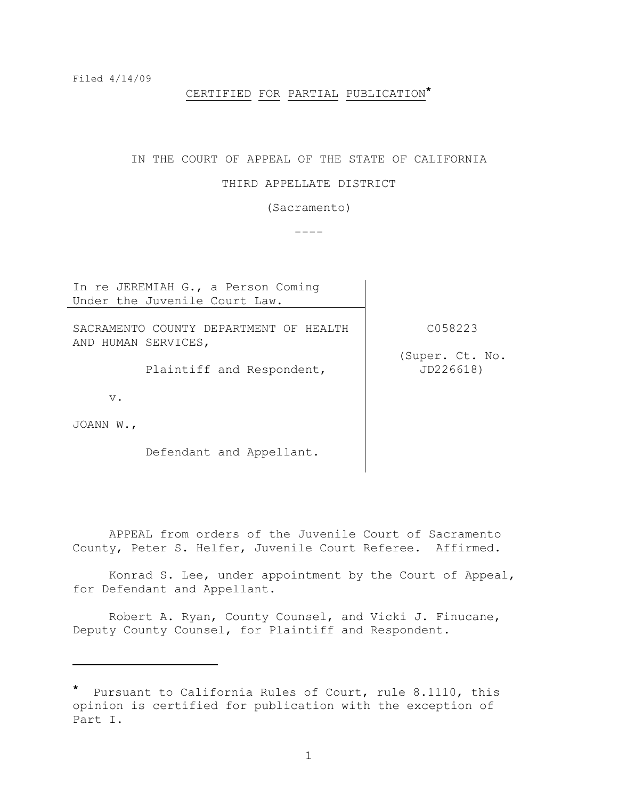# CERTIFIED FOR PARTIAL PUBLICATION**\***

### IN THE COURT OF APPEAL OF THE STATE OF CALIFORNIA

#### THIRD APPELLATE DISTRICT

(Sacramento)

 $----$ 

In re JEREMIAH G., a Person Coming Under the Juvenile Court Law.

SACRAMENTO COUNTY DEPARTMENT OF HEALTH AND HUMAN SERVICES,

Plaintiff and Respondent,

C058223

(Super. Ct. No. JD226618)

v.

JOANN W.,

i<br>L

Defendant and Appellant.

APPEAL from orders of the Juvenile Court of Sacramento County, Peter S. Helfer, Juvenile Court Referee. Affirmed.

Konrad S. Lee, under appointment by the Court of Appeal, for Defendant and Appellant.

Robert A. Ryan, County Counsel, and Vicki J. Finucane, Deputy County Counsel, for Plaintiff and Respondent.

**<sup>\*</sup>** Pursuant to California Rules of Court, rule 8.1110, this opinion is certified for publication with the exception of Part I.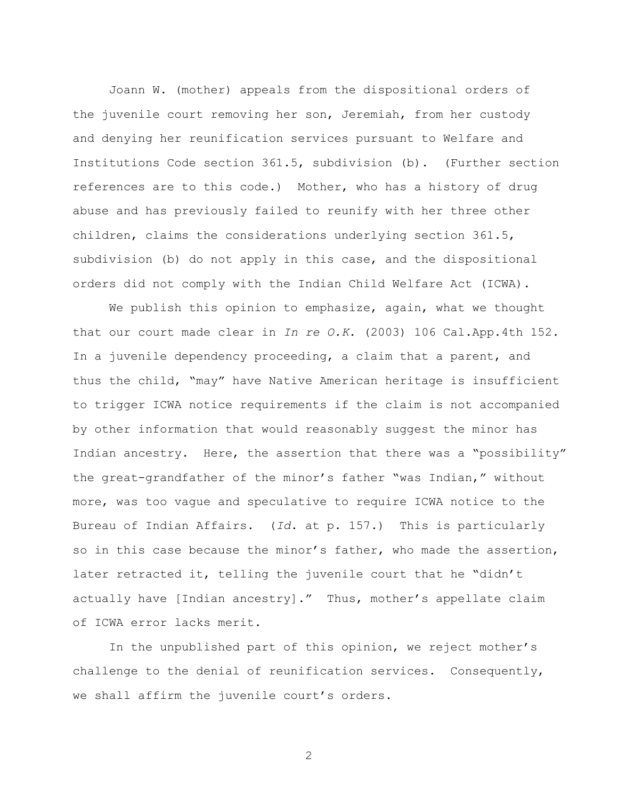Joann W. (mother) appeals from the dispositional orders of the juvenile court removing her son, Jeremiah, from her custody and denying her reunification services pursuant to Welfare and Institutions Code section 361.5, subdivision (b). (Further section references are to this code.) Mother, who has a history of drug abuse and has previously failed to reunify with her three other children, claims the considerations underlying section 361.5, subdivision (b) do not apply in this case, and the dispositional orders did not comply with the Indian Child Welfare Act (ICWA).

We publish this opinion to emphasize, again, what we thought that our court made clear in *In re O.K.* (2003) 106 Cal.App.4th 152. In a juvenile dependency proceeding, a claim that a parent, and thus the child, "may" have Native American heritage is insufficient to trigger ICWA notice requirements if the claim is not accompanied by other information that would reasonably suggest the minor has Indian ancestry. Here, the assertion that there was a "possibility" the great-grandfather of the minor's father "was Indian," without more, was too vague and speculative to require ICWA notice to the Bureau of Indian Affairs. (*Id*. at p. 157.) This is particularly so in this case because the minor's father, who made the assertion, later retracted it, telling the juvenile court that he "didn't actually have [Indian ancestry]." Thus, mother's appellate claim of ICWA error lacks merit.

In the unpublished part of this opinion, we reject mother's challenge to the denial of reunification services. Consequently, we shall affirm the juvenile court's orders.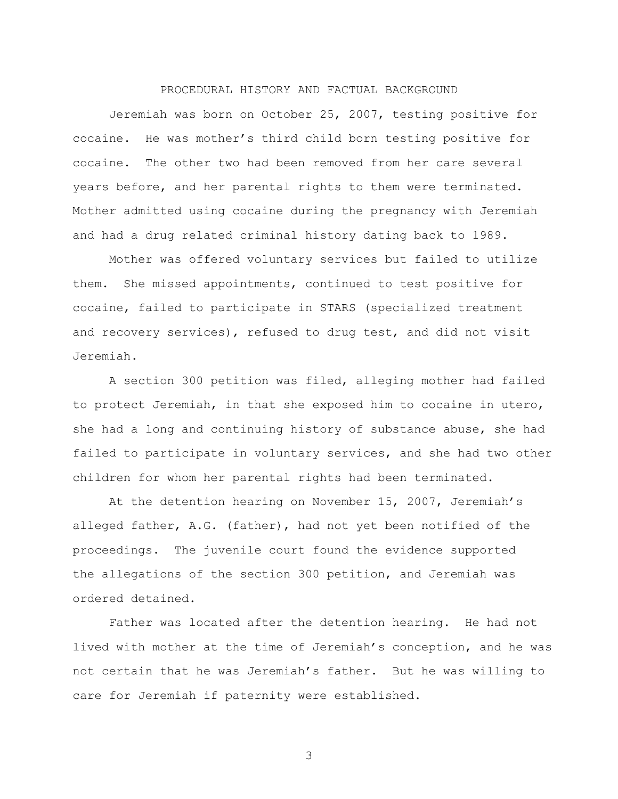## PROCEDURAL HISTORY AND FACTUAL BACKGROUND

Jeremiah was born on October 25, 2007, testing positive for cocaine. He was mother"s third child born testing positive for cocaine. The other two had been removed from her care several years before, and her parental rights to them were terminated. Mother admitted using cocaine during the pregnancy with Jeremiah and had a drug related criminal history dating back to 1989.

Mother was offered voluntary services but failed to utilize them. She missed appointments, continued to test positive for cocaine, failed to participate in STARS (specialized treatment and recovery services), refused to drug test, and did not visit Jeremiah.

A section 300 petition was filed, alleging mother had failed to protect Jeremiah, in that she exposed him to cocaine in utero, she had a long and continuing history of substance abuse, she had failed to participate in voluntary services, and she had two other children for whom her parental rights had been terminated.

At the detention hearing on November 15, 2007, Jeremiah"s alleged father, A.G. (father), had not yet been notified of the proceedings. The juvenile court found the evidence supported the allegations of the section 300 petition, and Jeremiah was ordered detained.

Father was located after the detention hearing. He had not lived with mother at the time of Jeremiah"s conception, and he was not certain that he was Jeremiah"s father. But he was willing to care for Jeremiah if paternity were established.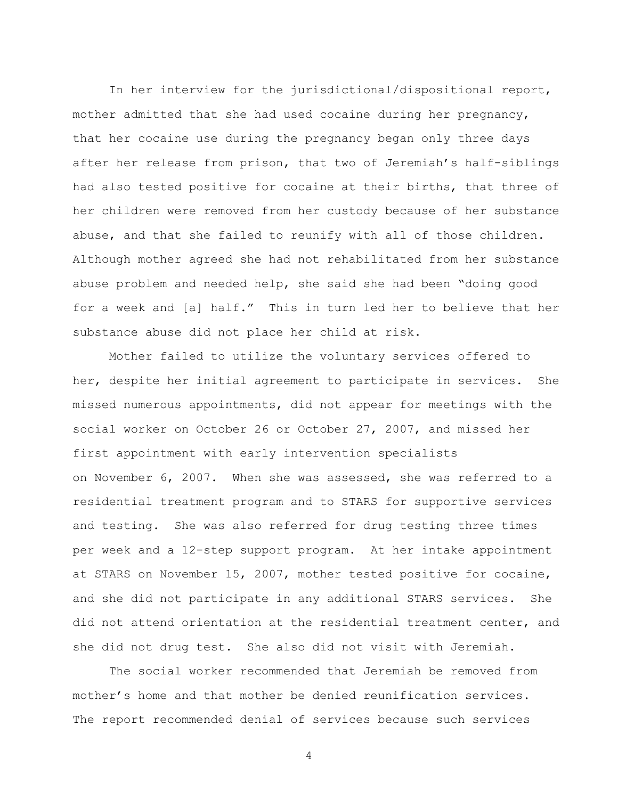In her interview for the jurisdictional/dispositional report, mother admitted that she had used cocaine during her pregnancy, that her cocaine use during the pregnancy began only three days after her release from prison, that two of Jeremiah"s half-siblings had also tested positive for cocaine at their births, that three of her children were removed from her custody because of her substance abuse, and that she failed to reunify with all of those children. Although mother agreed she had not rehabilitated from her substance abuse problem and needed help, she said she had been "doing good for a week and [a] half." This in turn led her to believe that her substance abuse did not place her child at risk.

Mother failed to utilize the voluntary services offered to her, despite her initial agreement to participate in services. She missed numerous appointments, did not appear for meetings with the social worker on October 26 or October 27, 2007, and missed her first appointment with early intervention specialists on November 6, 2007. When she was assessed, she was referred to a residential treatment program and to STARS for supportive services and testing. She was also referred for drug testing three times per week and a 12-step support program. At her intake appointment at STARS on November 15, 2007, mother tested positive for cocaine, and she did not participate in any additional STARS services. She did not attend orientation at the residential treatment center, and she did not drug test. She also did not visit with Jeremiah.

The social worker recommended that Jeremiah be removed from mother"s home and that mother be denied reunification services. The report recommended denial of services because such services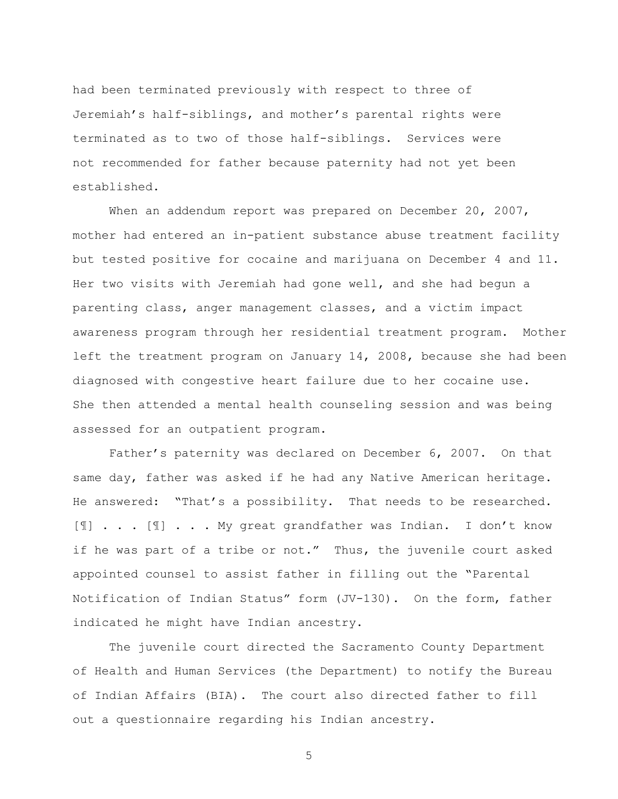had been terminated previously with respect to three of Jeremiah"s half-siblings, and mother"s parental rights were terminated as to two of those half-siblings. Services were not recommended for father because paternity had not yet been established.

When an addendum report was prepared on December 20, 2007, mother had entered an in-patient substance abuse treatment facility but tested positive for cocaine and marijuana on December 4 and 11. Her two visits with Jeremiah had gone well, and she had begun a parenting class, anger management classes, and a victim impact awareness program through her residential treatment program. Mother left the treatment program on January 14, 2008, because she had been diagnosed with congestive heart failure due to her cocaine use. She then attended a mental health counseling session and was being assessed for an outpatient program.

Father's paternity was declared on December 6, 2007. On that same day, father was asked if he had any Native American heritage. He answered: "That"s a possibility. That needs to be researched. [¶] . . . [¶] . . . My great grandfather was Indian. I don"t know if he was part of a tribe or not." Thus, the juvenile court asked appointed counsel to assist father in filling out the "Parental Notification of Indian Status" form (JV-130). On the form, father indicated he might have Indian ancestry.

The juvenile court directed the Sacramento County Department of Health and Human Services (the Department) to notify the Bureau of Indian Affairs (BIA). The court also directed father to fill out a questionnaire regarding his Indian ancestry.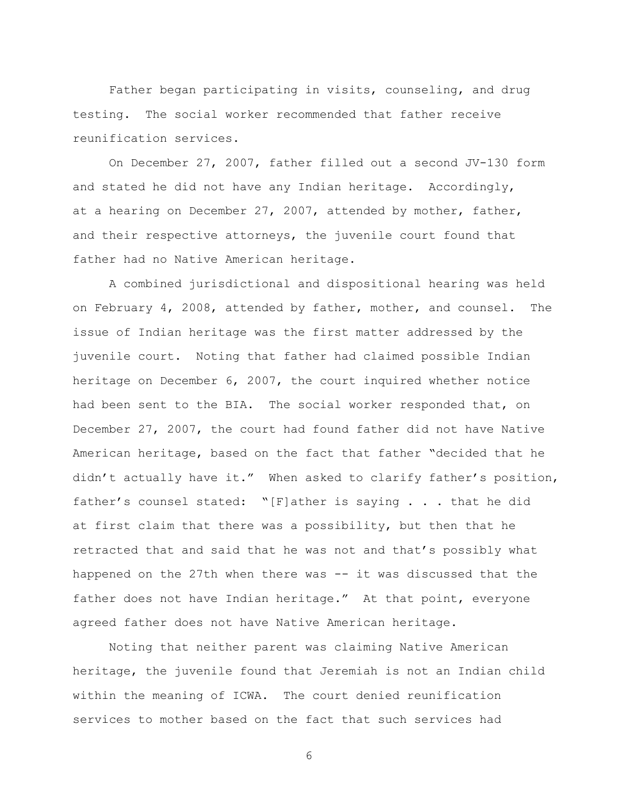Father began participating in visits, counseling, and drug testing. The social worker recommended that father receive reunification services.

On December 27, 2007, father filled out a second JV-130 form and stated he did not have any Indian heritage. Accordingly, at a hearing on December 27, 2007, attended by mother, father, and their respective attorneys, the juvenile court found that father had no Native American heritage.

A combined jurisdictional and dispositional hearing was held on February 4, 2008, attended by father, mother, and counsel. The issue of Indian heritage was the first matter addressed by the juvenile court. Noting that father had claimed possible Indian heritage on December 6, 2007, the court inquired whether notice had been sent to the BIA. The social worker responded that, on December 27, 2007, the court had found father did not have Native American heritage, based on the fact that father "decided that he didn"t actually have it." When asked to clarify father"s position, father"s counsel stated: "[F]ather is saying . . . that he did at first claim that there was a possibility, but then that he retracted that and said that he was not and that"s possibly what happened on the 27th when there was -- it was discussed that the father does not have Indian heritage." At that point, everyone agreed father does not have Native American heritage.

Noting that neither parent was claiming Native American heritage, the juvenile found that Jeremiah is not an Indian child within the meaning of ICWA. The court denied reunification services to mother based on the fact that such services had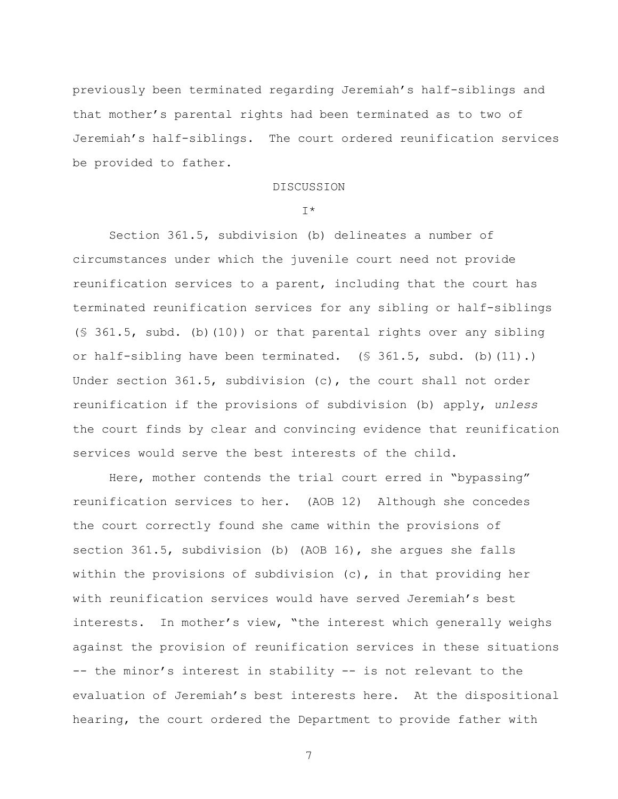previously been terminated regarding Jeremiah"s half-siblings and that mother"s parental rights had been terminated as to two of Jeremiah"s half-siblings. The court ordered reunification services be provided to father.

#### DISCUSSION

#### I\*

Section 361.5, subdivision (b) delineates a number of circumstances under which the juvenile court need not provide reunification services to a parent, including that the court has terminated reunification services for any sibling or half-siblings (§ 361.5, subd. (b)(10)) or that parental rights over any sibling or half-sibling have been terminated.  $(S\ 361.5, \text{subd.} (b)(11).)$ Under section 361.5, subdivision (c), the court shall not order reunification if the provisions of subdivision (b) apply, *unless* the court finds by clear and convincing evidence that reunification services would serve the best interests of the child.

Here, mother contends the trial court erred in "bypassing" reunification services to her. (AOB 12) Although she concedes the court correctly found she came within the provisions of section 361.5, subdivision (b) (AOB 16), she argues she falls within the provisions of subdivision  $(c)$ , in that providing her with reunification services would have served Jeremiah's best interests. In mother's view, "the interest which generally weighs against the provision of reunification services in these situations -- the minor's interest in stability -- is not relevant to the evaluation of Jeremiah"s best interests here. At the dispositional hearing, the court ordered the Department to provide father with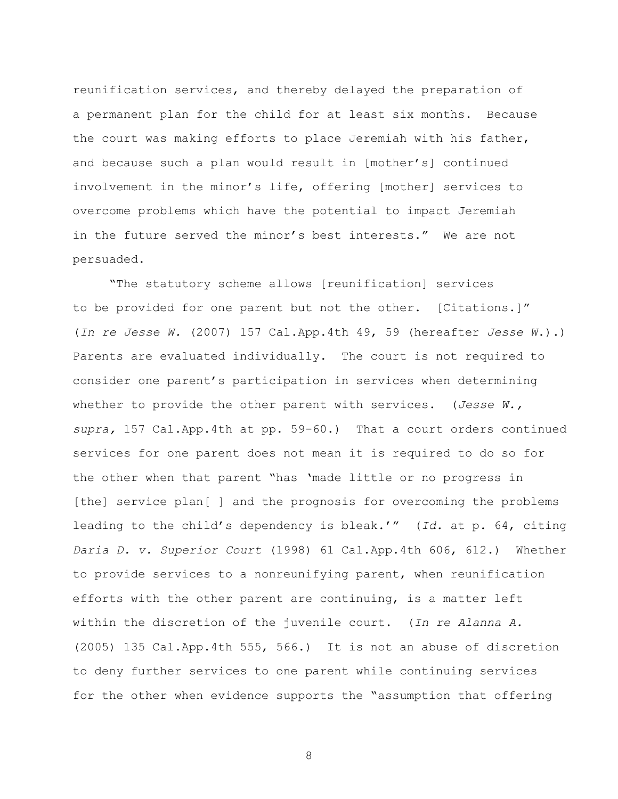reunification services, and thereby delayed the preparation of a permanent plan for the child for at least six months. Because the court was making efforts to place Jeremiah with his father, and because such a plan would result in [mother"s] continued involvement in the minor's life, offering [mother] services to overcome problems which have the potential to impact Jeremiah in the future served the minor's best interests." We are not persuaded.

"The statutory scheme allows [reunification] services to be provided for one parent but not the other. [Citations.]" (*In re Jesse W.* (2007) 157 Cal.App.4th 49, 59 (hereafter *Jesse W*.).) Parents are evaluated individually. The court is not required to consider one parent"s participation in services when determining whether to provide the other parent with services. (*Jesse W., supra,* 157 Cal.App.4th at pp. 59-60.) That a court orders continued services for one parent does not mean it is required to do so for the other when that parent "has "made little or no progress in [the] service plan[ ] and the prognosis for overcoming the problems leading to the child"s dependency is bleak."" (*Id.* at p. 64, citing *Daria D. v. Superior Court* (1998) 61 Cal.App.4th 606, 612.) Whether to provide services to a nonreunifying parent, when reunification efforts with the other parent are continuing, is a matter left within the discretion of the juvenile court. (*In re Alanna A.* (2005) 135 Cal.App.4th 555, 566.) It is not an abuse of discretion to deny further services to one parent while continuing services for the other when evidence supports the "assumption that offering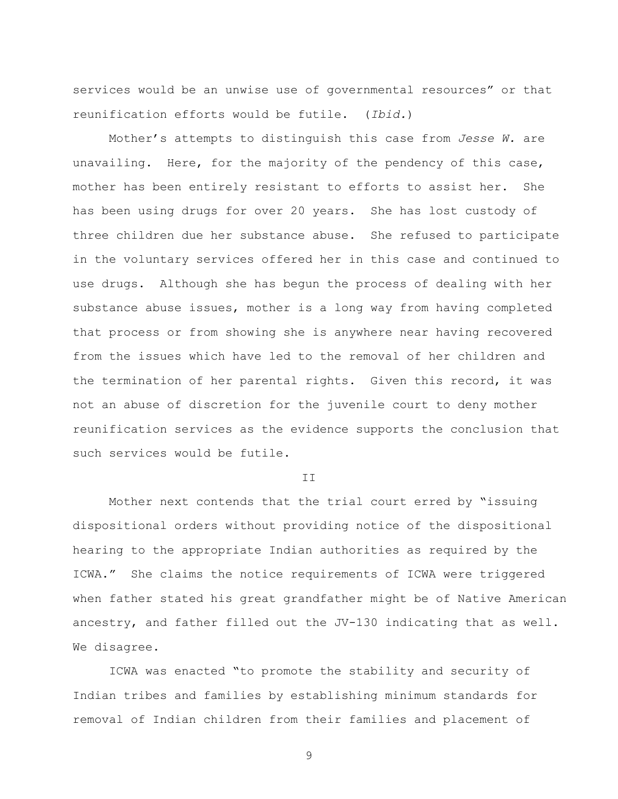services would be an unwise use of governmental resources" or that reunification efforts would be futile. (*Ibid.*)

Mother"s attempts to distinguish this case from *Jesse W.* are unavailing. Here, for the majority of the pendency of this case, mother has been entirely resistant to efforts to assist her. She has been using drugs for over 20 years. She has lost custody of three children due her substance abuse. She refused to participate in the voluntary services offered her in this case and continued to use drugs. Although she has begun the process of dealing with her substance abuse issues, mother is a long way from having completed that process or from showing she is anywhere near having recovered from the issues which have led to the removal of her children and the termination of her parental rights. Given this record, it was not an abuse of discretion for the juvenile court to deny mother reunification services as the evidence supports the conclusion that such services would be futile.

T<sub>T</sub>

Mother next contends that the trial court erred by "issuing dispositional orders without providing notice of the dispositional hearing to the appropriate Indian authorities as required by the ICWA." She claims the notice requirements of ICWA were triggered when father stated his great grandfather might be of Native American ancestry, and father filled out the JV-130 indicating that as well. We disagree.

ICWA was enacted "to promote the stability and security of Indian tribes and families by establishing minimum standards for removal of Indian children from their families and placement of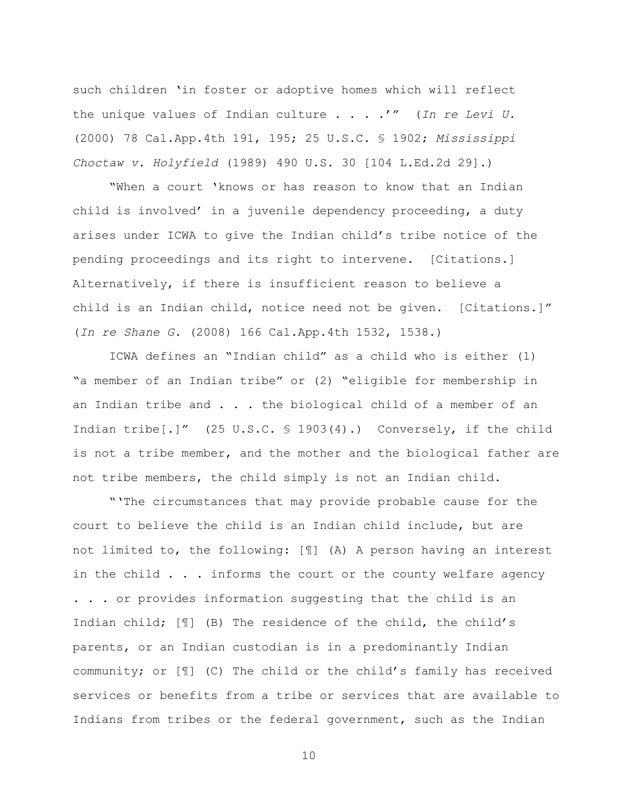such children "in foster or adoptive homes which will reflect the unique values of Indian culture . . . ."" (*In re Levi U.*  (2000) 78 Cal.App.4th 191, 195; 25 U.S.C. § 1902; *Mississippi Choctaw v. Holyfield* (1989) 490 U.S. 30 [104 L.Ed.2d 29].)

"When a court "knows or has reason to know that an Indian child is involved' in a juvenile dependency proceeding, a duty arises under ICWA to give the Indian child"s tribe notice of the pending proceedings and its right to intervene. [Citations.] Alternatively, if there is insufficient reason to believe a child is an Indian child, notice need not be given. [Citations.]" (*In re Shane G.* (2008) 166 Cal.App.4th 1532, 1538.)

ICWA defines an "Indian child" as a child who is either (1) "a member of an Indian tribe" or (2) "eligible for membership in an Indian tribe and . . . the biological child of a member of an Indian tribe[.]" (25 U.S.C. § 1903(4).) Conversely, if the child is not a tribe member, and the mother and the biological father are not tribe members, the child simply is not an Indian child.

""The circumstances that may provide probable cause for the court to believe the child is an Indian child include, but are not limited to, the following: [¶] (A) A person having an interest in the child . . . informs the court or the county welfare agency . . . or provides information suggesting that the child is an Indian child; [¶] (B) The residence of the child, the child"s parents, or an Indian custodian is in a predominantly Indian community; or [¶] (C) The child or the child"s family has received services or benefits from a tribe or services that are available to Indians from tribes or the federal government, such as the Indian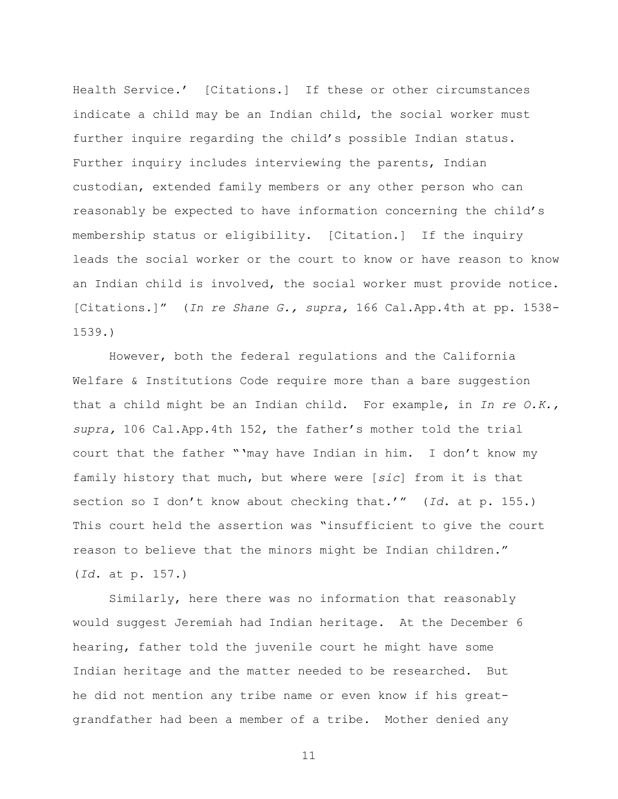Health Service." [Citations.] If these or other circumstances indicate a child may be an Indian child, the social worker must further inquire regarding the child"s possible Indian status. Further inquiry includes interviewing the parents, Indian custodian, extended family members or any other person who can reasonably be expected to have information concerning the child"s membership status or eligibility. [Citation.] If the inquiry leads the social worker or the court to know or have reason to know an Indian child is involved, the social worker must provide notice. [Citations.]" (*In re Shane G., supra,* 166 Cal.App.4th at pp. 1538- 1539.)

However, both the federal regulations and the California Welfare & Institutions Code require more than a bare suggestion that a child might be an Indian child. For example, in *In re O.K., supra,* 106 Cal.App.4th 152, the father"s mother told the trial court that the father ""may have Indian in him. I don"t know my family history that much, but where were [*sic*] from it is that section so I don't know about checking that.'" (Id. at p. 155.) This court held the assertion was "insufficient to give the court reason to believe that the minors might be Indian children." (*Id.* at p. 157.)

Similarly, here there was no information that reasonably would suggest Jeremiah had Indian heritage. At the December 6 hearing, father told the juvenile court he might have some Indian heritage and the matter needed to be researched. But he did not mention any tribe name or even know if his greatgrandfather had been a member of a tribe. Mother denied any